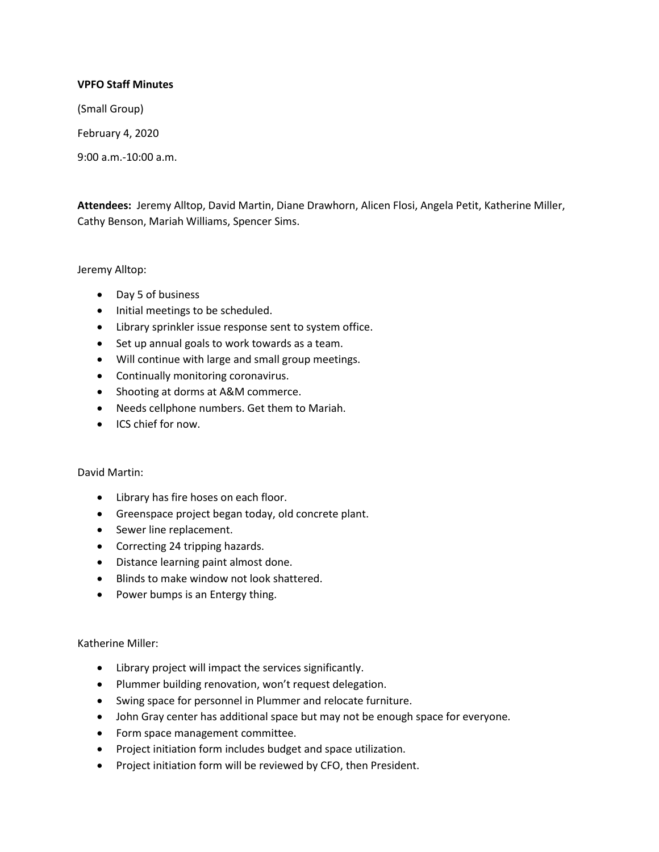## **VPFO Staff Minutes**

(Small Group)

February 4, 2020

9:00 a.m.-10:00 a.m.

**Attendees:** Jeremy Alltop, David Martin, Diane Drawhorn, Alicen Flosi, Angela Petit, Katherine Miller, Cathy Benson, Mariah Williams, Spencer Sims.

Jeremy Alltop:

- Day 5 of business
- Initial meetings to be scheduled.
- Library sprinkler issue response sent to system office.
- Set up annual goals to work towards as a team.
- Will continue with large and small group meetings.
- Continually monitoring coronavirus.
- Shooting at dorms at A&M commerce.
- Needs cellphone numbers. Get them to Mariah.
- ICS chief for now.

# David Martin:

- Library has fire hoses on each floor.
- Greenspace project began today, old concrete plant.
- Sewer line replacement.
- Correcting 24 tripping hazards.
- Distance learning paint almost done.
- Blinds to make window not look shattered.
- Power bumps is an Entergy thing.

Katherine Miller:

- Library project will impact the services significantly.
- Plummer building renovation, won't request delegation.
- Swing space for personnel in Plummer and relocate furniture.
- John Gray center has additional space but may not be enough space for everyone.
- Form space management committee.
- Project initiation form includes budget and space utilization.
- Project initiation form will be reviewed by CFO, then President.